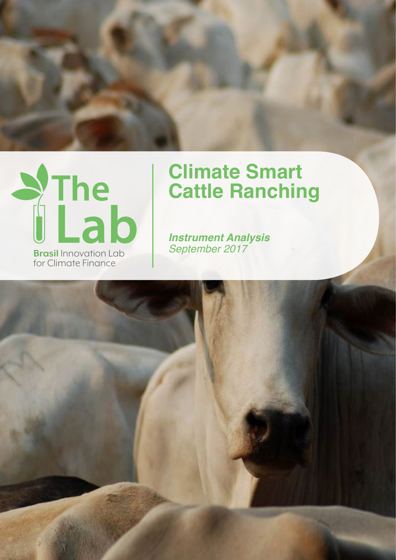



# **Climate Smart Cattle Ranching**

*Instrument Analysis*

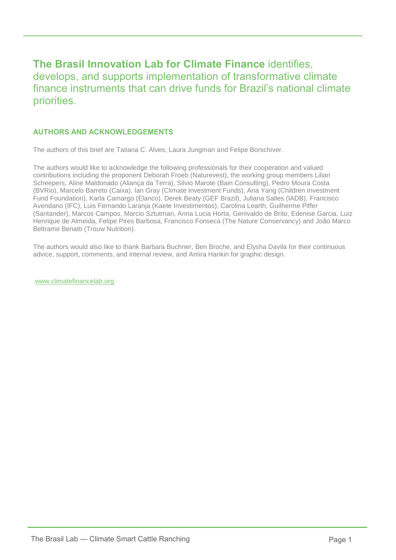# **The Brasil Innovation Lab for Climate Finance** identifies, develops, and supports implementation of transformative climate finance instruments that can drive funds for Brazil's national climate priorities.

# **AUTHORS AND ACKNOWLEDGEMENTS**

The authors of this brief are Tatiana C. Alves, Laura Jungman and Felipe Borschiver.

The authors would like to acknowledge the following professionals for their cooperation and valued contributions including the proponent Deborah Froeb (Naturevest), the working group members Lilian Scheepers, Aline Maldonado (Aliança da Terra), Silvio Marote (Bain Consulting), Pedro Moura Costa (BVRio), Marcelo Barreto (Caixa), Ian Gray (Climate Investment Funds), Ana Yang (Children Investment Fund Foundation), Karla Camargo (Elanco), Derek Beaty (GEF Brazil), Juliana Salles (IADB), Francisco Avendano (IFC), Luis Fernando Laranja (Kaete Investimentos), Carolina Learth, Guilherme Piffer (Santander), Marcos Campos, Marcio Sztutman, Anna Lucia Horta, Genivaldo de Brito, Edenise Garcia, Luiz Henrique de Almeida, Felipe Pires Barbosa, Francisco Fonseca (The Nature Conservancy) and João Marco Beltrame Benatti (Trouw Nutrition).

The authors would also like to thank Barbara Buchner, Ben Broche, and Elysha Davila for their continuous advice, support, comments, and internal review, and Amira Hankin for graphic design.

[www.climatefinancelab.org](http://www.climatefinancelab.org/)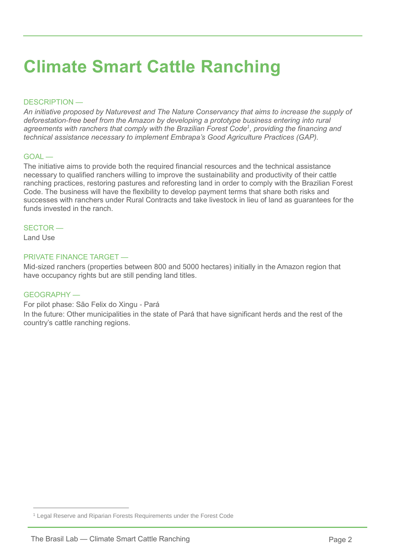# **Climate Smart Cattle Ranching**

#### DESCRIPTION —

*An initiative proposed by Naturevest and The Nature Conservancy that aims to increase the supply of deforestation-free beef from the Amazon by developing a prototype business entering into rural agreements with ranchers that comply with the Brazilian Forest Code<sup>1</sup> , providing the financing and technical assistance necessary to implement Embrapa's Good Agriculture Practices (GAP).*

#### GOAL —

The initiative aims to provide both the required financial resources and the technical assistance necessary to qualified ranchers willing to improve the sustainability and productivity of their cattle ranching practices, restoring pastures and reforesting land in order to comply with the Brazilian Forest Code. The business will have the flexibility to develop payment terms that share both risks and successes with ranchers under Rural Contracts and take livestock in lieu of land as guarantees for the funds invested in the ranch.

#### SECTOR —

Land Use

 $\overline{a}$ 

## PRIVATE FINANCE TARGET —

Mid-sized ranchers (properties between 800 and 5000 hectares) initially in the Amazon region that have occupancy rights but are still pending land titles.

#### GEOGRAPHY —

For pilot phase: São Felix do Xingu - Pará

In the future: Other municipalities in the state of Pará that have significant herds and the rest of the country's cattle ranching regions.

<sup>1</sup> Legal Reserve and Riparian Forests Requirements under the Forest Code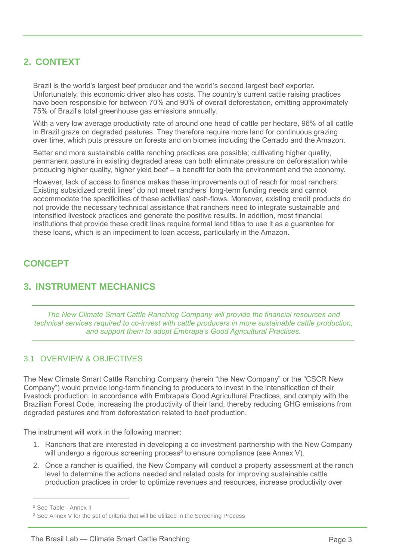# **2. CONTEXT**

Brazil is the world's largest beef producer and the world's second largest beef exporter. Unfortunately, this economic driver also has costs. The country's current cattle raising practices have been responsible for between 70% and 90% of overall deforestation, emitting approximately 75% of Brazil's total greenhouse gas emissions annually.

With a very low average productivity rate of around one head of cattle per hectare, 96% of all cattle in Brazil graze on degraded pastures. They therefore require more land for continuous grazing over time, which puts pressure on forests and on biomes including the Cerrado and the Amazon.

Better and more sustainable cattle ranching practices are possible; cultivating higher quality, permanent pasture in existing degraded areas can both eliminate pressure on deforestation while producing higher quality, higher yield beef – a benefit for both the environment and the economy.

However, lack of access to finance makes these improvements out of reach for most ranchers: Existing subsidized credit lines<sup>2</sup> do not meet ranchers' long-term funding needs and cannot accommodate the specificities of these activities' cash-flows. Moreover, existing credit products do not provide the necessary technical assistance that ranchers need to integrate sustainable and intensified livestock practices and generate the positive results. In addition, most financial institutions that provide these credit lines require formal land titles to use it as a guarantee for these loans, which is an impediment to loan access, particularly in the Amazon.

# **CONCEPT**

# **3. INSTRUMENT MECHANICS**

*The New Climate Smart Cattle Ranching Company will provide the financial resources and technical services required to co-invest with cattle producers in more sustainable cattle production, and support them to adopt Embrapa's Good Agricultural Practices.* 

# 3.1 OVERVIEW & OBJECTIVES

The New Climate Smart Cattle Ranching Company (herein "the New Company" or the "CSCR New Company") would provide long-term financing to producers to invest in the intensification of their livestock production, in accordance with Embrapa's Good Agricultural Practices, and comply with the Brazilian Forest Code, increasing the productivity of their land, thereby reducing GHG emissions from degraded pastures and from deforestation related to beef production.

The instrument will work in the following manner:

- 1. Ranchers that are interested in developing a co-investment partnership with the New Company will undergo a rigorous screening process<sup>3</sup> to ensure compliance (see Annex V).
- 2. Once a rancher is qualified, the New Company will conduct a property assessment at the ranch level to determine the actions needed and related costs for improving sustainable cattle production practices in order to optimize revenues and resources, increase productivity over

<sup>2</sup> See Table - Annex II

<sup>&</sup>lt;sup>3</sup> See Annex V for the set of criteria that will be utilized in the Screening Process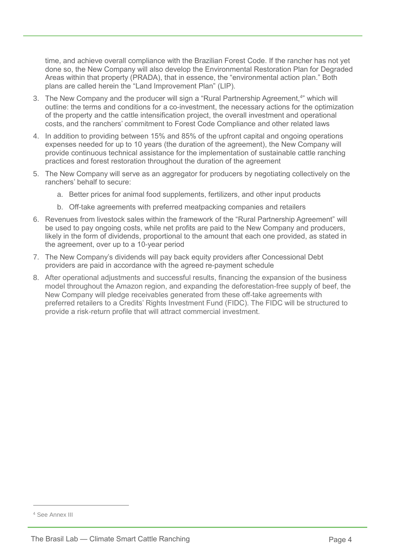time, and achieve overall compliance with the Brazilian Forest Code. If the rancher has not yet done so, the New Company will also develop the Environmental Restoration Plan for Degraded Areas within that property (PRADA), that in essence, the "environmental action plan." Both plans are called herein the "Land Improvement Plan" (LIP).

- 3. The New Company and the producer will sign a "Rural Partnership Agreement, 4 " which will outline: the terms and conditions for a co-investment, the necessary actions for the optimization of the property and the cattle intensification project, the overall investment and operational costs, and the ranchers' commitment to Forest Code Compliance and other related laws
- 4. In addition to providing between 15% and 85% of the upfront capital and ongoing operations expenses needed for up to 10 years (the duration of the agreement), the New Company will provide continuous technical assistance for the implementation of sustainable cattle ranching practices and forest restoration throughout the duration of the agreement
- 5. The New Company will serve as an aggregator for producers by negotiating collectively on the ranchers' behalf to secure:
	- a. Better prices for animal food supplements, fertilizers, and other input products
	- b. Off-take agreements with preferred meatpacking companies and retailers
- 6. Revenues from livestock sales within the framework of the "Rural Partnership Agreement" will be used to pay ongoing costs, while net profits are paid to the New Company and producers, likely in the form of dividends, proportional to the amount that each one provided, as stated in the agreement, over up to a 10-year period
- 7. The New Company's dividends will pay back equity providers after Concessional Debt providers are paid in accordance with the agreed re-payment schedule
- 8. After operational adjustments and successful results, financing the expansion of the business model throughout the Amazon region, and expanding the deforestation-free supply of beef, the New Company will pledge receivables generated from these off-take agreements with preferred retailers to a Credits' Rights Investment Fund (FIDC). The FIDC will be structured to provide a risk-return profile that will attract commercial investment.

<sup>4</sup> See Annex III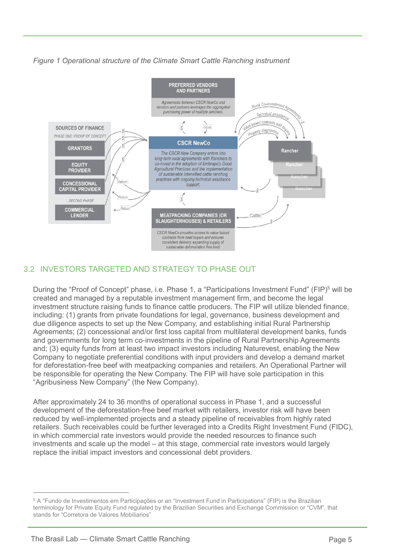# *Figure 1 Operational structure of the Climate Smart Cattle Ranching instrument*



# 3.2 INVESTORS TARGETED AND STRATEGY TO PHASE OUT

During the "Proof of Concept" phase, i.e. Phase 1, a "Participations Investment Fund" (FIP)<sup>5</sup> will be created and managed by a reputable investment management firm, and become the legal investment structure raising funds to finance cattle producers. The FIP will utilize blended finance, including: (1) grants from private foundations for legal, governance, business development and due diligence aspects to set up the New Company, and establishing initial Rural Partnership Agreements; (2) concessional and/or first loss capital from multilateral development banks, funds and governments for long term co-investments in the pipeline of Rural Partnership Agreements and; (3) equity funds from at least two impact investors including Naturevest, enabling the New Company to negotiate preferential conditions with input providers and develop a demand market for deforestation-free beef with meatpacking companies and retailers. An Operational Partner will be responsible for operating the New Company. The FIP will have sole participation in this "Agribusiness New Company" (the New Company).

After approximately 24 to 36 months of operational success in Phase 1, and a successful development of the deforestation-free beef market with retailers, investor risk will have been reduced by well-implemented projects and a steady pipeline of receivables from highly rated retailers. Such receivables could be further leveraged into a Credits Right Investment Fund (FIDC), in which commercial rate investors would provide the needed resources to finance such investments and scale up the model – at this stage, commercial rate investors would largely replace the initial impact investors and concessional debt providers.

<sup>5</sup> A "Fundo de Investimentos em Participações or an "Investment Fund in Participations" (FIP) is the Brazilian terminology for Private Equity Fund regulated by the Brazilian Securities and Exchange Commission or "CVM", that stands for "Corretora de Valores Mobiliarios"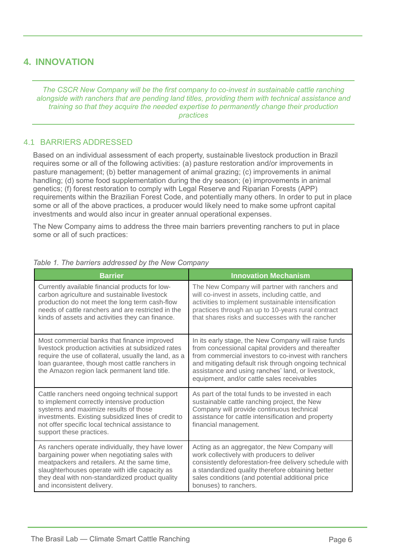# **4. INNOVATION**

*The CSCR New Company will be the first company to co-invest in sustainable cattle ranching alongside with ranchers that are pending land titles, providing them with technical assistance and training so that they acquire the needed expertise to permanently change their production practices*

## 4.1 BARRIERS ADDRESSED

Based on an individual assessment of each property, sustainable livestock production in Brazil requires some or all of the following activities: (a) pasture restoration and/or improvements in pasture management; (b) better management of animal grazing; (c) improvements in animal handling; (d) some food supplementation during the dry season; (e) improvements in animal genetics; (f) forest restoration to comply with Legal Reserve and Riparian Forests (APP) requirements within the Brazilian Forest Code, and potentially many others. In order to put in place some or all of the above practices, a producer would likely need to make some upfront capital investments and would also incur in greater annual operational expenses.

The New Company aims to address the three main barriers preventing ranchers to put in place some or all of such practices:

| <b>Barrier</b>                                                                                                                                                                                                                                                                      | <b>Innovation Mechanism</b>                                                                                                                                                                                                                                                                                                    |
|-------------------------------------------------------------------------------------------------------------------------------------------------------------------------------------------------------------------------------------------------------------------------------------|--------------------------------------------------------------------------------------------------------------------------------------------------------------------------------------------------------------------------------------------------------------------------------------------------------------------------------|
| Currently available financial products for low-<br>carbon agriculture and sustainable livestock<br>production do not meet the long term cash-flow<br>needs of cattle ranchers and are restricted in the<br>kinds of assets and activities they can finance.                         | The New Company will partner with ranchers and<br>will co-invest in assets, including cattle, and<br>activities to implement sustainable intensification<br>practices through an up to 10-years rural contract<br>that shares risks and successes with the rancher                                                             |
| Most commercial banks that finance improved<br>livestock production activities at subsidized rates<br>require the use of collateral, usually the land, as a<br>loan guarantee, though most cattle ranchers in<br>the Amazon region lack permanent land title.                       | In its early stage, the New Company will raise funds<br>from concessional capital providers and thereafter<br>from commercial investors to co-invest with ranchers<br>and mitigating default risk through ongoing technical<br>assistance and using ranches' land, or livestock,<br>equipment, and/or cattle sales receivables |
| Cattle ranchers need ongoing technical support<br>to implement correctly intensive production<br>systems and maximize results of those<br>investments. Existing subsidized lines of credit to<br>not offer specific local technical assistance to<br>support these practices.       | As part of the total funds to be invested in each<br>sustainable cattle ranching project, the New<br>Company will provide continuous technical<br>assistance for cattle intensification and property<br>financial management.                                                                                                  |
| As ranchers operate individually, they have lower<br>bargaining power when negotiating sales with<br>meatpackers and retailers. At the same time,<br>slaughterhouses operate with idle capacity as<br>they deal with non-standardized product quality<br>and inconsistent delivery. | Acting as an aggregator, the New Company will<br>work collectively with producers to deliver<br>consistently deforestation-free delivery schedule with<br>a standardized quality therefore obtaining better<br>sales conditions (and potential additional price<br>bonuses) to ranchers.                                       |

*Table 1. The barriers addressed by the New Company*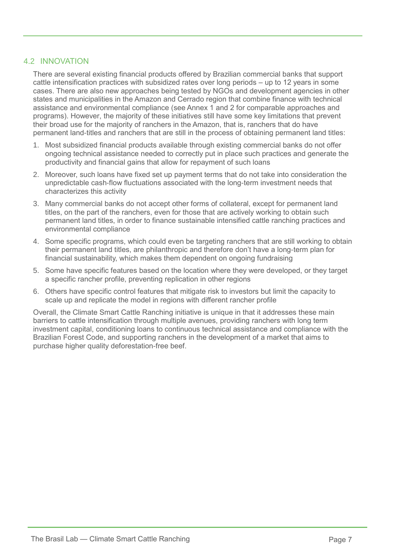## 4.2 INNOVATION

There are several existing financial products offered by Brazilian commercial banks that support cattle intensification practices with subsidized rates over long periods – up to 12 years in some cases. There are also new approaches being tested by NGOs and development agencies in other states and municipalities in the Amazon and Cerrado region that combine finance with technical assistance and environmental compliance (see Annex 1 and 2 for comparable approaches and programs). However, the majority of these initiatives still have some key limitations that prevent their broad use for the majority of ranchers in the Amazon, that is, ranchers that do have permanent land-titles and ranchers that are still in the process of obtaining permanent land titles:

- 1. Most subsidized financial products available through existing commercial banks do not offer ongoing technical assistance needed to correctly put in place such practices and generate the productivity and financial gains that allow for repayment of such loans
- 2. Moreover, such loans have fixed set up payment terms that do not take into consideration the unpredictable cash-flow fluctuations associated with the long-term investment needs that characterizes this activity
- 3. Many commercial banks do not accept other forms of collateral, except for permanent land titles, on the part of the ranchers, even for those that are actively working to obtain such permanent land titles, in order to finance sustainable intensified cattle ranching practices and environmental compliance
- 4. Some specific programs, which could even be targeting ranchers that are still working to obtain their permanent land titles, are philanthropic and therefore don't have a long-term plan for financial sustainability, which makes them dependent on ongoing fundraising
- 5. Some have specific features based on the location where they were developed, or they target a specific rancher profile, preventing replication in other regions
- 6. Others have specific control features that mitigate risk to investors but limit the capacity to scale up and replicate the model in regions with different rancher profile

Overall, the Climate Smart Cattle Ranching initiative is unique in that it addresses these main barriers to cattle intensification through multiple avenues, providing ranchers with long term investment capital, conditioning loans to continuous technical assistance and compliance with the Brazilian Forest Code, and supporting ranchers in the development of a market that aims to purchase higher quality deforestation-free beef.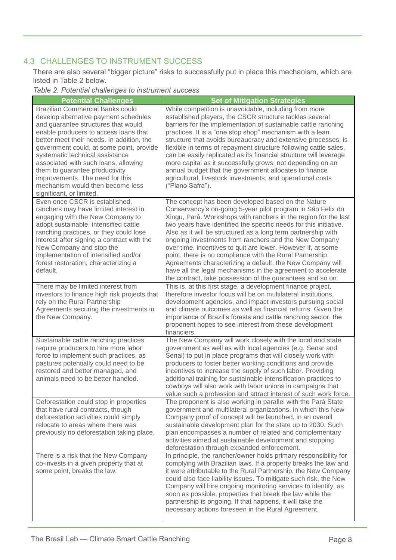# 4.3 CHALLENGES TO INSTRUMENT SUCCESS

There are also several "bigger picture" risks to successfully put in place this mechanism, which are listed in Table 2 below.

*Table 2. Potential challenges to instrument success*

| <b>Potential Challenges</b>                                                                                                                                                                                                                                                                                                                                                                                                                                               | <b>Set of Mitigation Strategies</b>                                                                                                                                                                                                                                                                                                                                                                                                                                                                                                                                                                                                                                                                       |
|---------------------------------------------------------------------------------------------------------------------------------------------------------------------------------------------------------------------------------------------------------------------------------------------------------------------------------------------------------------------------------------------------------------------------------------------------------------------------|-----------------------------------------------------------------------------------------------------------------------------------------------------------------------------------------------------------------------------------------------------------------------------------------------------------------------------------------------------------------------------------------------------------------------------------------------------------------------------------------------------------------------------------------------------------------------------------------------------------------------------------------------------------------------------------------------------------|
| <b>Brazilian Commercial Banks could</b><br>develop alternative payment schedules<br>and guarantee structures that would<br>enable producers to access loans that<br>better meet their needs. In addition, the<br>government could, at some point, provide<br>systematic technical assistance<br>associated with such loans, allowing<br>them to guarantee productivity<br>improvements. The need for this<br>mechanism would then become less<br>significant, or limited. | While competition is unavoidable, including from more<br>established players, the CSCR structure tackles several<br>barriers for the implementation of sustainable cattle ranching<br>practices. It is a "one stop shop" mechanism with a lean<br>structure that avoids bureaucracy and extensive processes, is<br>flexible in terms of repayment structure following cattle sales,<br>can be easily replicated as its financial structure will leverage<br>more capital as it successfully grows, not depending on an<br>annual budget that the government allocates to finance<br>agricultural, livestock investments, and operational costs<br>("Plano Safra").                                        |
| Even once CSCR is established,<br>ranchers may have limited interest in<br>engaging with the New Company to<br>adopt sustainable, intensified cattle<br>ranching practices, or they could lose<br>interest after signing a contract with the<br>New Company and stop the<br>implementation of intensified and/or<br>forest restoration, characterizing a<br>default.                                                                                                      | The concept has been developed based on the Nature<br>Conservancy's on-going 5-year pilot program in São Felix do<br>Xingu, Pará. Workshops with ranchers in the region for the last<br>two years have identified the specific needs for this initiative.<br>Also as it will be structured as a long term partnership with<br>ongoing investments from ranchers and the New Company<br>over time, incentives to quit are lower. However if, at some<br>point, there is no compliance with the Rural Parnership<br>Agreements characterizing a default, the New Company will<br>have all the legal mechanisms in the agreement to accelerate<br>the contract, take possession of the guarantees and so on. |
| There may be limited interest from<br>investors to finance high risk projects that<br>rely on the Rural Partnership<br>Agreements securing the investments in<br>the New Company.                                                                                                                                                                                                                                                                                         | This is, at this first stage, a development finance project,<br>therefore investor focus will be on multilateral institutions,<br>development agencies, and impact investors pursuing social<br>and climate outcomes as well as financial returns. Given the<br>importance of Brazil's forests and cattle ranching sector, the<br>proponent hopes to see interest from these development<br>financiers.                                                                                                                                                                                                                                                                                                   |
| Sustainable cattle ranching practices<br>require producers to hire more labor<br>force to implement such practices, as<br>pastures potentially could need to be<br>restored and better managed, and<br>animals need to be better handled.                                                                                                                                                                                                                                 | The New Company will work closely with the local and state<br>government as well as with local agencies (e.g. Senar and<br>Senai) to put in place programs that will closely work with<br>producers to foster better working conditions and provide<br>incentives to increase the supply of such labor. Providing<br>additional training for sustainable intensification practices to<br>cowboys will also work with labor unions in campaigns that<br>value such a profession and attract interest of such work force.                                                                                                                                                                                   |
| Deforestation could stop in properties<br>that have rural contracts, though<br>deforestation activities could simply<br>relocate to areas where there was<br>previously no deforestation taking place.                                                                                                                                                                                                                                                                    | The proponent is also working in parallel with the Pará State<br>government and multilateral organizations, in which this New<br>Company proof of concept will be launched, in an overall<br>sustainable development plan for the state up to 2030. Such<br>plan encompasses a number of related and complementary<br>activities aimed at sustainable development and stopping<br>deforestation through expanded enforcement.                                                                                                                                                                                                                                                                             |
| There is a risk that the New Company<br>co-invests in a given property that at<br>some point, breaks the law.                                                                                                                                                                                                                                                                                                                                                             | In principle, the rancher/owner holds primary responsibility for<br>complying with Brazilian laws. If a property breaks the law and<br>it were attributable to the Rural Partnership, the New Company<br>could also face liability issues. To mitigate such risk, the New<br>Company will hire ongoing monitoring services to identify, as<br>soon as possible, properties that break the law while the<br>partnership is ongoing. If that happens, it will take the<br>necessary actions foreseen in the Rural Agreement.                                                                                                                                                                                |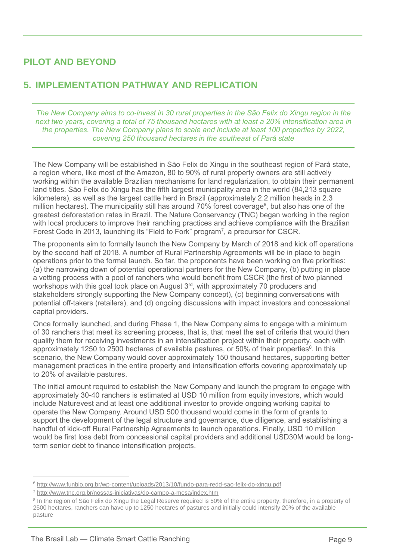# **PILOT AND BEYOND**

# **5. IMPLEMENTATION PATHWAY AND REPLICATION**

*The New Company aims to co-invest in 30 rural properties in the São Felix do Xingu region in the next two years, covering a total of 75 thousand hectares with at least a 20% intensification area in the properties. The New Company plans to scale and include at least 100 properties by 2022, covering 250 thousand hectares in the southeast of Pará state* 

The New Company will be established in São Felix do Xingu in the southeast region of Pará state, a region where, like most of the Amazon, 80 to 90% of rural property owners are still actively working within the available Brazilian mechanisms for land regularization, to obtain their permanent land titles. São Felix do Xingu has the fifth largest municipality area in the world (84,213 square kilometers), as well as the largest cattle herd in Brazil (approximately 2.2 million heads in 2.3 million hectares). The municipality still has around 70% forest coverage<sup>6</sup>, but also has one of the greatest deforestation rates in Brazil. The Nature Conservancy (TNC) began working in the region with local producers to improve their ranching practices and achieve compliance with the Brazilian Forest Code in 2013, launching its "Field to Fork" program<sup>7</sup>, a precursor for CSCR.

The proponents aim to formally launch the New Company by March of 2018 and kick off operations by the second half of 2018. A number of Rural Partnership Agreements will be in place to begin operations prior to the formal launch. So far, the proponents have been working on five priorities: (a) the narrowing down of potential operational partners for the New Company, (b) putting in place a vetting process with a pool of ranchers who would benefit from CSCR (the first of two planned workshops with this goal took place on August 3<sup>rd</sup>, with approximately 70 producers and stakeholders strongly supporting the New Company concept), (c) beginning conversations with potential off-takers (retailers), and (d) ongoing discussions with impact investors and concessional capital providers.

Once formally launched, and during Phase 1, the New Company aims to engage with a minimum of 30 ranchers that meet its screening process, that is, that meet the set of criteria that would then qualify them for receiving investments in an intensification project within their property, each with approximately 1250 to 2500 hectares of available pastures, or 50% of their properties<sup>8</sup>. In this scenario, the New Company would cover approximately 150 thousand hectares, supporting better management practices in the entire property and intensification efforts covering approximately up to 20% of available pastures.

The initial amount required to establish the New Company and launch the program to engage with approximately 30-40 ranchers is estimated at USD 10 million from equity investors, which would include Naturevest and at least one additional investor to provide ongoing working capital to operate the New Company. Around USD 500 thousand would come in the form of grants to support the development of the legal structure and governance, due diligence, and establishing a handful of kick-off Rural Partnership Agreements to launch operations. Finally, USD 10 million would be first loss debt from concessional capital providers and additional USD30M would be longterm senior debt to finance intensification projects.

<sup>6</sup> <http://www.funbio.org.br/wp-content/uploads/2013/10/fundo-para-redd-sao-felix-do-xingu.pdf>

<sup>7</sup> <http://www.tnc.org.br/nossas-iniciativas/do-campo-a-mesa/index.htm>

<sup>&</sup>lt;sup>8</sup> In the region of São Felix do Xingu the Legal Reserve required is 50% of the entire property, therefore, in a property of 2500 hectares, ranchers can have up to 1250 hectares of pastures and initially could intensify 20% of the available pasture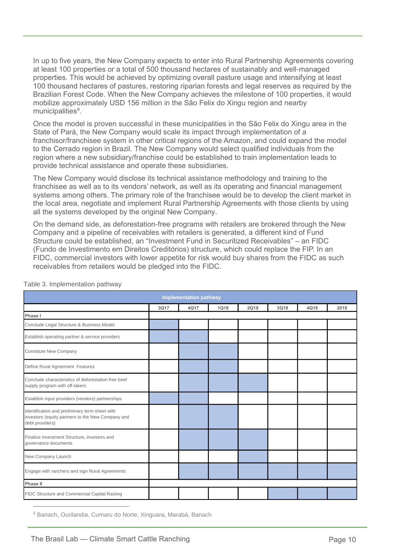In up to five years, the New Company expects to enter into Rural Partnership Agreements covering at least 100 properties or a total of 500 thousand hectares of sustainably and well-managed properties. This would be achieved by optimizing overall pasture usage and intensifying at least 100 thousand hectares of pastures, restoring riparian forests and legal reserves as required by the Brazilian Forest Code. When the New Company achieves the milestone of 100 properties, it would mobilize approximately USD 156 million in the São Felix do Xingu region and nearby municipalities<sup>9</sup>.

Once the model is proven successful in these municipalities in the São Felix do Xingu area in the State of Pará, the New Company would scale its impact through implementation of a franchisor/franchisee system in other critical regions of the Amazon, and could expand the model to the Cerrado region in Brazil. The New Company would select qualified individuals from the region where a new subsidiary/franchise could be established to train implementation leads to provide technical assistance and operate these subsidiaries.

The New Company would disclose its technical assistance methodology and training to the franchisee as well as to its vendors' network, as well as its operating and financial management systems among others. The primary role of the franchisee would be to develop the client market in the local area, negotiate and implement Rural Partnership Agreements with those clients by using all the systems developed by the original New Company.

On the demand side, as deforestation-free programs with retailers are brokered through the New Company and a pipeline of receivables with retailers is generated, a different kind of Fund Structure could be established, an "Investment Fund in Securitized Receivables" – an FIDC (Fundo de Investimento em Direitos Creditórios) structure, which could replace the FIP. In an FIDC, commercial investors with lower appetite for risk would buy shares from the FIDC as such receivables from retailers would be pledged into the FIDC.

| <b>Implementation pathway</b>                                                                                          |      |      |      |             |      |      |      |
|------------------------------------------------------------------------------------------------------------------------|------|------|------|-------------|------|------|------|
|                                                                                                                        | 3Q17 | 4Q17 | 1Q18 | <b>2Q18</b> | 3Q18 | 4Q18 | 2019 |
| Phase I                                                                                                                |      |      |      |             |      |      |      |
| Conclude Legal Structure & Business Model                                                                              |      |      |      |             |      |      |      |
| Establish operating partner & service providers                                                                        |      |      |      |             |      |      |      |
| Constitute New Company                                                                                                 |      |      |      |             |      |      |      |
| Define Rural Agreement Features                                                                                        |      |      |      |             |      |      |      |
| Conclude characteristics of deforestation free beef<br>supply program with off-takers                                  |      |      |      |             |      |      |      |
| Establish input providers (vendors) partnerships                                                                       |      |      |      |             |      |      |      |
| Identification and preliminary term sheet with<br>investors (equity partners to the New Company and<br>debt providers) |      |      |      |             |      |      |      |
| Finalize Investment Structure, investors and<br>governance documents                                                   |      |      |      |             |      |      |      |
| New Company Launch                                                                                                     |      |      |      |             |      |      |      |
| Engage with ranchers and sign Rural Agreements                                                                         |      |      |      |             |      |      |      |
| <b>Phase II</b>                                                                                                        |      |      |      |             |      |      |      |
| FIDC Structure and Commercial Capital Raising                                                                          |      |      |      |             |      |      |      |
| <sup>9</sup> Banach, Ourilandia, Cumaru do Norte, Xinguara, Marabá, Banach                                             |      |      |      |             |      |      |      |

Table 3. Implementation pathway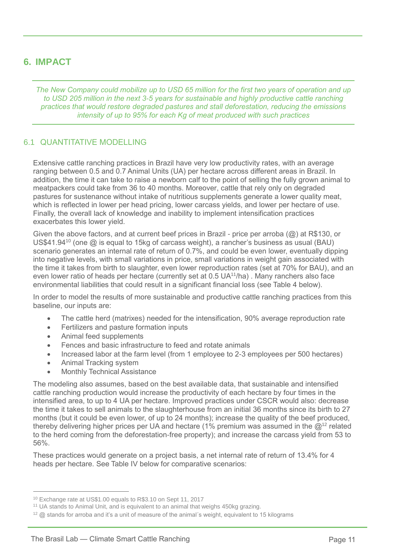# **6. IMPACT**

*The New Company could mobilize up to USD 65 million for the first two years of operation and up to USD 205 million in the next 3-5 years for sustainable and highly productive cattle ranching practices that would restore degraded pastures and stall deforestation, reducing the emissions intensity of up to 95% for each Kg of meat produced with such practices*

# 6.1 QUANTITATIVE MODELLING

Extensive cattle ranching practices in Brazil have very low productivity rates, with an average ranging between 0.5 and 0.7 Animal Units (UA) per hectare across different areas in Brazil. In addition, the time it can take to raise a newborn calf to the point of selling the fully grown animal to meatpackers could take from 36 to 40 months. Moreover, cattle that rely only on degraded pastures for sustenance without intake of nutritious supplements generate a lower quality meat, which is reflected in lower per head pricing, lower carcass yields, and lower per hectare of use. Finally, the overall lack of knowledge and inability to implement intensification practices exacerbates this lower yield.

Given the above factors, and at current beef prices in Brazil - price per arroba (@) at R\$130, or US\$41.94<sup>10</sup> (one @ is equal to 15kg of carcass weight), a rancher's business as usual (BAU) scenario generates an internal rate of return of 0.7%, and could be even lower, eventually dipping into negative levels, with small variations in price, small variations in weight gain associated with the time it takes from birth to slaughter, even lower reproduction rates (set at 70% for BAU), and an even lower ratio of heads per hectare (currently set at 0.5 UA<sup>11</sup>/ha). Many ranchers also face environmental liabilities that could result in a significant financial loss (see Table 4 below).

In order to model the results of more sustainable and productive cattle ranching practices from this baseline, our inputs are:

- The cattle herd (matrixes) needed for the intensification, 90% average reproduction rate
- Fertilizers and pasture formation inputs
- Animal feed supplements
- Fences and basic infrastructure to feed and rotate animals
- Increased labor at the farm level (from 1 employee to 2-3 employees per 500 hectares)
- Animal Tracking system

 $\overline{a}$ 

Monthly Technical Assistance

The modeling also assumes, based on the best available data, that sustainable and intensified cattle ranching production would increase the productivity of each hectare by four times in the intensified area, to up to 4 UA per hectare. Improved practices under CSCR would also: decrease the time it takes to sell animals to the slaughterhouse from an initial 36 months since its birth to 27 months (but it could be even lower, of up to 24 months); increase the quality of the beef produced, thereby delivering higher prices per UA and hectare (1% premium was assumed in the  $\mathcal{Q}^{12}$  related to the herd coming from the deforestation-free property); and increase the carcass yield from 53 to 56%.

These practices would generate on a project basis, a net internal rate of return of 13.4% for 4 heads per hectare. See Table IV below for comparative scenarios:

<sup>10</sup> Exchange rate at US\$1.00 equals to R\$3.10 on Sept 11, 2017

<sup>&</sup>lt;sup>11</sup> UA stands to Animal Unit, and is equivalent to an animal that weighs 450kg grazing.

 $12 \text{ } \textcircled{1}$  stands for arroba and it's a unit of measure of the animal's weight, equivalent to 15 kilograms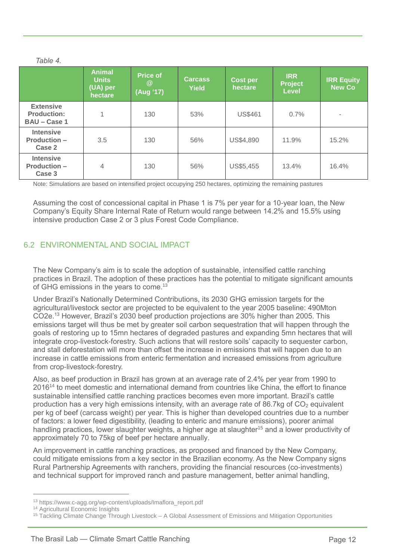|                                                               | <b>Animal</b><br><b>Units</b><br>(UA) per<br>hectare | <b>Price of</b><br>$\circleda$<br>(Aug '17) | <b>Carcass</b><br><b>Yield</b> | <b>Cost per</b><br>hectare | <b>IRR</b><br><b>Project</b><br><b>Level</b> | <b>IRR Equity</b><br><b>New Co</b> |
|---------------------------------------------------------------|------------------------------------------------------|---------------------------------------------|--------------------------------|----------------------------|----------------------------------------------|------------------------------------|
| <b>Extensive</b><br><b>Production:</b><br><b>BAU - Case 1</b> | 4                                                    | 130                                         | 53%                            | <b>US\$461</b>             | 0.7%                                         | $\blacksquare$                     |
| <b>Intensive</b><br><b>Production -</b><br>Case 2             | 3.5                                                  | 130                                         | 56%                            | US\$4,890                  | 11.9%                                        | 15.2%                              |
| <b>Intensive</b><br><b>Production -</b><br>Case 3             | $\overline{4}$                                       | 130                                         | 56%                            | US\$5,455                  | 13.4%                                        | 16.4%                              |

Note: Simulations are based on intensified project occupying 250 hectares, optimizing the remaining pastures

Assuming the cost of concessional capital in Phase 1 is 7% per year for a 10-year loan, the New Company's Equity Share Internal Rate of Return would range between 14.2% and 15.5% using intensive production Case 2 or 3 plus Forest Code Compliance.

# 6.2 ENVIRONMENTAL AND SOCIAL IMPACT

The New Company's aim is to scale the adoption of sustainable, intensified cattle ranching practices in Brazil. The adoption of these practices has the potential to mitigate significant amounts of GHG emissions in the years to come.<sup>13</sup>

Under Brazil's Nationally Determined Contributions, its 2030 GHG emission targets for the agricultural/livestock sector are projected to be equivalent to the year 2005 baseline: 490Mton CO2e.<sup>13</sup> However, Brazil's 2030 beef production projections are 30% higher than 2005. This emissions target will thus be met by greater soil carbon sequestration that will happen through the goals of restoring up to 15mn hectares of degraded pastures and expanding 5mn hectares that will integrate crop-livestock-forestry. Such actions that will restore soils' capacity to sequester carbon, and stall deforestation will more than offset the increase in emissions that will happen due to an increase in cattle emissions from enteric fermentation and increased emissions from agriculture from crop-livestock-forestry.

Also, as beef production in Brazil has grown at an average rate of 2.4% per year from 1990 to 2016<sup>14</sup> to meet domestic and international demand from countries like China, the effort to finance sustainable intensified cattle ranching practices becomes even more important. Brazil's cattle production has a very high emissions intensity, with an average rate of 86.7kg of  $CO<sub>2</sub>$  equivalent per kg of beef (carcass weight) per year. This is higher than developed countries due to a number of factors: a lower feed digestibility, (leading to enteric and manure emissions), poorer animal handling practices, lower slaughter weights, a higher age at slaughter<sup>15</sup> and a lower productivity of approximately 70 to 75kg of beef per hectare annually.

An improvement in cattle ranching practices, as proposed and financed by the New Company, could mitigate emissions from a key sector in the Brazilian economy. As the New Company signs Rural Partnership Agreements with ranchers, providing the financial resources (co-investments) and technical support for improved ranch and pasture management, better animal handling,

<sup>13</sup> https://www.c-agg.org/wp-content/uploads/Imaflora\_report.pdf

<sup>&</sup>lt;sup>14</sup> Agricultural Economic Insights

<sup>&</sup>lt;sup>15</sup> Tackling Climate Change Through Livestock – A Global Assessment of Emissions and Mitigation Opportunities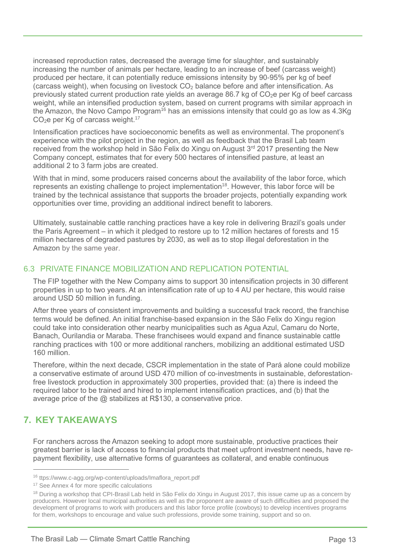increased reproduction rates, decreased the average time for slaughter, and sustainably increasing the number of animals per hectare, leading to an increase of beef (carcass weight) produced per hectare, it can potentially reduce emissions intensity by 90-95% per kg of beef (carcass weight), when focusing on livestock CO<sub>2</sub> balance before and after intensification. As previously stated current production rate yields an average 86.7 kg of  $CO<sub>2</sub>e$  per Kg of beef carcass weight, while an intensified production system, based on current programs with similar approach in the Amazon, the Novo Campo Program<sup>16</sup> has an emissions intensity that could go as low as  $4.3$ Kg  $CO<sub>2</sub>e$  per Kg of carcass weight.<sup>17</sup>

Intensification practices have socioeconomic benefits as well as environmental. The proponent's experience with the pilot project in the region, as well as feedback that the Brasil Lab team received from the workshop held in São Felix do Xingu on August 3<sup>rd</sup> 2017 presenting the New Company concept, estimates that for every 500 hectares of intensified pasture, at least an additional 2 to 3 farm jobs are created.

With that in mind, some producers raised concerns about the availability of the labor force, which represents an existing challenge to project implementation<sup>18</sup>. However, this labor force will be trained by the technical assistance that supports the broader projects, potentially expanding work opportunities over time, providing an additional indirect benefit to laborers.

Ultimately, sustainable cattle ranching practices have a key role in delivering Brazil's goals under the Paris Agreement – in which it pledged to restore up to 12 million hectares of forests and 15 million hectares of degraded pastures by 2030, as well as to stop illegal deforestation in the Amazon by the same year.

# 6.3 PRIVATE FINANCE MOBILIZATION AND REPLICATION POTENTIAL

The FIP together with the New Company aims to support 30 intensification projects in 30 different properties in up to two years. At an intensification rate of up to 4 AU per hectare, this would raise around USD 50 million in funding.

After three years of consistent improvements and building a successful track record, the franchise terms would be defined. An initial franchise-based expansion in the São Felix do Xingu region could take into consideration other nearby municipalities such as Agua Azul, Camaru do Norte, Banach, Ourilandia or Maraba. These franchisees would expand and finance sustainable cattle ranching practices with 100 or more additional ranchers, mobilizing an additional estimated USD 160 million.

Therefore, within the next decade, CSCR implementation in the state of Pará alone could mobilize a conservative estimate of around USD 470 million of co-investments in sustainable, deforestationfree livestock production in approximately 300 properties, provided that: (a) there is indeed the required labor to be trained and hired to implement intensification practices, and (b) that the average price of the @ stabilizes at R\$130, a conservative price.

# **7. KEY TAKEAWAYS**

 $\overline{a}$ 

For ranchers across the Amazon seeking to adopt more sustainable, productive practices their greatest barrier is lack of access to financial products that meet upfront investment needs, have repayment flexibility, use alternative forms of guarantees as collateral, and enable continuous

<sup>16</sup> ttps://www.c-agg.org/wp-content/uploads/Imaflora\_report.pdf

<sup>&</sup>lt;sup>17</sup> See Annex 4 for more specific calculations

<sup>&</sup>lt;sup>18</sup> During a workshop that CPI-Brasil Lab held in São Felix do Xingu in August 2017, this issue came up as a concern by producers. However local municipal authorities as well as the proponent are aware of such difficulties and proposed the development of programs to work with producers and this labor force profile (cowboys) to develop incentives programs for them, workshops to encourage and value such professions, provide some training, support and so on.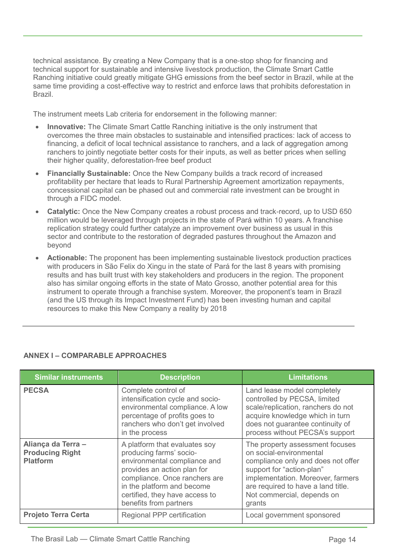technical assistance. By creating a New Company that is a one-stop shop for financing and technical support for sustainable and intensive livestock production, the Climate Smart Cattle Ranching initiative could greatly mitigate GHG emissions from the beef sector in Brazil, while at the same time providing a cost-effective way to restrict and enforce laws that prohibits deforestation in Brazil.

The instrument meets Lab criteria for endorsement in the following manner:

- **Innovative:** The Climate Smart Cattle Ranching initiative is the only instrument that overcomes the three main obstacles to sustainable and intensified practices: lack of access to financing, a deficit of local technical assistance to ranchers, and a lack of aggregation among ranchers to jointly negotiate better costs for their inputs, as well as better prices when selling their higher quality, deforestation-free beef product
- **Financially Sustainable:** Once the New Company builds a track record of increased profitability per hectare that leads to Rural Partnership Agreement amortization repayments, concessional capital can be phased out and commercial rate investment can be brought in through a FIDC model.
- **Catalytic:** Once the New Company creates a robust process and track-record, up to USD 650 million would be leveraged through projects in the state of Pará within 10 years. A franchise replication strategy could further catalyze an improvement over business as usual in this sector and contribute to the restoration of degraded pastures throughout the Amazon and beyond
- **Actionable:** The proponent has been implementing sustainable livestock production practices with producers in São Felix do Xingu in the state of Pará for the last 8 years with promising results and has built trust with key stakeholders and producers in the region. The proponent also has similar ongoing efforts in the state of Mato Grosso, another potential area for this instrument to operate through a franchise system. Moreover, the proponent's team in Brazil (and the US through its Impact Investment Fund) has been investing human and capital resources to make this New Company a reality by 2018

| <b>Similar instruments</b>                                      | <b>Description</b>                                                                                                                                                                                                                                 | <b>Limitations</b>                                                                                                                                                                                                                               |
|-----------------------------------------------------------------|----------------------------------------------------------------------------------------------------------------------------------------------------------------------------------------------------------------------------------------------------|--------------------------------------------------------------------------------------------------------------------------------------------------------------------------------------------------------------------------------------------------|
| <b>PECSA</b>                                                    | Complete control of<br>intensification cycle and socio-<br>environmental compliance. A low<br>percentage of profits goes to<br>ranchers who don't get involved<br>in the process                                                                   | Land lease model completely<br>controlled by PECSA, limited<br>scale/replication, ranchers do not<br>acquire knowledge which in turn<br>does not guarantee continuity of<br>process without PECSA's support                                      |
| Aliança da Terra -<br><b>Producing Right</b><br><b>Platform</b> | A platform that evaluates soy<br>producing farms' socio-<br>environmental compliance and<br>provides an action plan for<br>compliance. Once ranchers are<br>in the platform and become<br>certified, they have access to<br>benefits from partners | The property assessment focuses<br>on social-environmental<br>compliance only and does not offer<br>support for "action-plan"<br>implementation. Moreover, farmers<br>are required to have a land title.<br>Not commercial, depends on<br>grants |
| <b>Projeto Terra Certa</b>                                      | Regional PPP certification                                                                                                                                                                                                                         | Local government sponsored                                                                                                                                                                                                                       |

# **ANNEX I – COMPARABLE APPROACHES**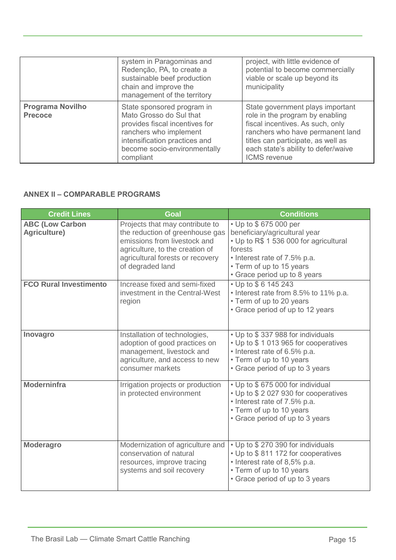|                                           | system in Paragominas and<br>Redenção, PA, to create a<br>sustainable beef production<br>chain and improve the<br>management of the territory                                                   | project, with little evidence of<br>potential to become commercially<br>viable or scale up beyond its<br>municipality                                                                                                                           |
|-------------------------------------------|-------------------------------------------------------------------------------------------------------------------------------------------------------------------------------------------------|-------------------------------------------------------------------------------------------------------------------------------------------------------------------------------------------------------------------------------------------------|
| <b>Programa Novilho</b><br><b>Precoce</b> | State sponsored program in<br>Mato Grosso do Sul that<br>provides fiscal incentives for<br>ranchers who implement<br>intensification practices and<br>become socio-environmentally<br>compliant | State government plays important<br>role in the program by enabling<br>fiscal incentives. As such, only<br>ranchers who have permanent land<br>titles can participate, as well as<br>each state's ability to defer/waive<br><b>ICMS</b> revenue |

# **ANNEX II – COMPARABLE PROGRAMS**

| <b>Credit Lines</b>                    | Goal                                                                                                                                                                                          | <b>Conditions</b>                                                                                                                                                                                       |
|----------------------------------------|-----------------------------------------------------------------------------------------------------------------------------------------------------------------------------------------------|---------------------------------------------------------------------------------------------------------------------------------------------------------------------------------------------------------|
| <b>ABC (Low Carbon</b><br>Agriculture) | Projects that may contribute to<br>the reduction of greenhouse gas<br>emissions from livestock and<br>agriculture, to the creation of<br>agricultural forests or recovery<br>of degraded land | • Up to \$675 000 per<br>beneficiary/agricultural year<br>• Up to R\$ 1 536 000 for agricultural<br>forests<br>• Interest rate of 7.5% p.a.<br>• Term of up to 15 years<br>• Grace period up to 8 years |
| <b>FCO Rural Investimento</b>          | Increase fixed and semi-fixed<br>investment in the Central-West<br>region                                                                                                                     | • Up to \$6 145 243<br>• Interest rate from 8.5% to 11% p.a.<br>• Term of up to 20 years<br>• Grace period of up to 12 years                                                                            |
| Inovagro                               | Installation of technologies,<br>adoption of good practices on<br>management, livestock and<br>agriculture, and access to new<br>consumer markets                                             | • Up to \$337 988 for individuals<br>• Up to \$1013965 for cooperatives<br>• Interest rate of 6.5% p.a.<br>• Term of up to 10 years<br>• Grace period of up to 3 years                                  |
| <b>Moderninfra</b>                     | Irrigation projects or production<br>in protected environment                                                                                                                                 | • Up to \$675 000 for individual<br>• Up to \$2027930 for cooperatives<br>• Interest rate of 7.5% p.a.<br>• Term of up to 10 years<br>• Grace period of up to 3 years                                   |
| <b>Moderagro</b>                       | Modernization of agriculture and<br>conservation of natural<br>resources, improve tracing<br>systems and soil recovery                                                                        | • Up to \$270 390 for individuals<br>• Up to \$811 172 for cooperatives<br>• Interest rate of 8,5% p.a.<br>• Term of up to 10 years<br>• Grace period of up to 3 years                                  |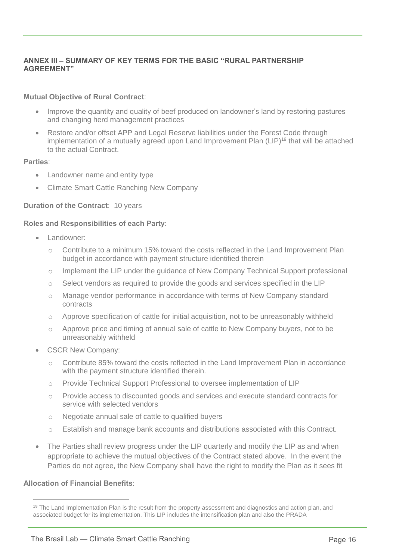# **ANNEX III – SUMMARY OF KEY TERMS FOR THE BASIC "RURAL PARTNERSHIP AGREEMENT"**

## **Mutual Objective of Rural Contract**:

- Improve the quantity and quality of beef produced on landowner's land by restoring pastures and changing herd management practices
- Restore and/or offset APP and Legal Reserve liabilities under the Forest Code through implementation of a mutually agreed upon Land Improvement Plan (LIP)<sup>19</sup> that will be attached to the actual Contract.

#### **Parties**:

- Landowner name and entity type
- Climate Smart Cattle Ranching New Company

## **Duration of the Contract**: 10 years

## **Roles and Responsibilities of each Party**:

- Landowner:
	- o Contribute to a minimum 15% toward the costs reflected in the Land Improvement Plan budget in accordance with payment structure identified therein
	- o Implement the LIP under the guidance of New Company Technical Support professional
	- $\circ$  Select vendors as required to provide the goods and services specified in the LIP
	- o Manage vendor performance in accordance with terms of New Company standard contracts
	- $\circ$  Approve specification of cattle for initial acquisition, not to be unreasonably withheld
	- $\circ$  Approve price and timing of annual sale of cattle to New Company buyers, not to be unreasonably withheld
- CSCR New Company:
	- o Contribute 85% toward the costs reflected in the Land Improvement Plan in accordance with the payment structure identified therein.
	- o Provide Technical Support Professional to oversee implementation of LIP
	- o Provide access to discounted goods and services and execute standard contracts for service with selected vendors
	- o Negotiate annual sale of cattle to qualified buyers
	- o Establish and manage bank accounts and distributions associated with this Contract.
- The Parties shall review progress under the LIP quarterly and modify the LIP as and when appropriate to achieve the mutual objectives of the Contract stated above. In the event the Parties do not agree, the New Company shall have the right to modify the Plan as it sees fit

#### **Allocation of Financial Benefits**:

 $19$  The Land Implementation Plan is the result from the property assessment and diagnostics and action plan, and associated budget for its implementation. This LIP includes the intensification plan and also the PRADA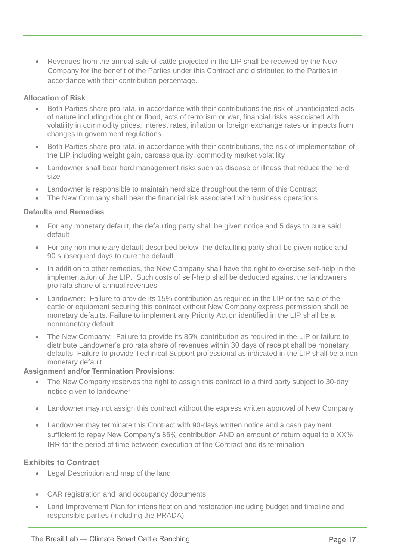Revenues from the annual sale of cattle projected in the LIP shall be received by the New Company for the benefit of the Parties under this Contract and distributed to the Parties in accordance with their contribution percentage.

## **Allocation of Risk**:

- Both Parties share pro rata, in accordance with their contributions the risk of unanticipated acts of nature including drought or flood, acts of terrorism or war, financial risks associated with volatility in commodity prices, interest rates, inflation or foreign exchange rates or impacts from changes in government regulations.
- Both Parties share pro rata, in accordance with their contributions, the risk of implementation of the LIP including weight gain, carcass quality, commodity market volatility
- Landowner shall bear herd management risks such as disease or illness that reduce the herd size
- Landowner is responsible to maintain herd size throughout the term of this Contract
- The New Company shall bear the financial risk associated with business operations

## **Defaults and Remedies**:

- For any monetary default, the defaulting party shall be given notice and 5 days to cure said default
- For any non-monetary default described below, the defaulting party shall be given notice and 90 subsequent days to cure the default
- In addition to other remedies, the New Company shall have the right to exercise self-help in the implementation of the LIP. Such costs of self-help shall be deducted against the landowners pro rata share of annual revenues
- Landowner: Failure to provide its 15% contribution as required in the LIP or the sale of the cattle or equipment securing this contract without New Company express permission shall be monetary defaults. Failure to implement any Priority Action identified in the LIP shall be a nonmonetary default
- The New Company: Failure to provide its 85% contribution as required in the LIP or failure to distribute Landowner's pro rata share of revenues within 30 days of receipt shall be monetary defaults. Failure to provide Technical Support professional as indicated in the LIP shall be a nonmonetary default

#### **Assignment and/or Termination Provisions:**

- The New Company reserves the right to assign this contract to a third party subject to 30-day notice given to landowner
- Landowner may not assign this contract without the express written approval of New Company
- Landowner may terminate this Contract with 90-days written notice and a cash payment sufficient to repay New Company's 85% contribution AND an amount of return equal to a XX% IRR for the period of time between execution of the Contract and its termination

## **Exhibits to Contract**

- Legal Description and map of the land
- CAR registration and land occupancy documents
- Land Improvement Plan for intensification and restoration including budget and timeline and responsible parties (including the PRADA)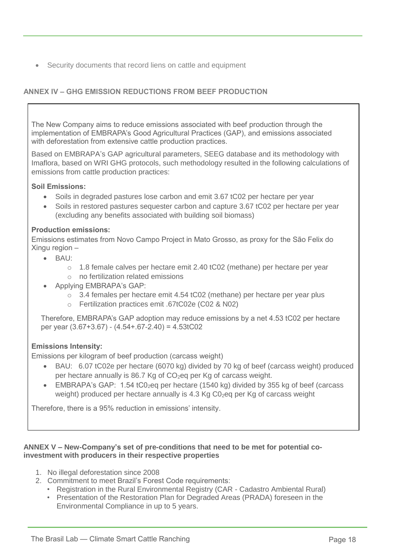Security documents that record liens on cattle and equipment

# **ANNEX IV – GHG EMISSION REDUCTIONS FROM BEEF PRODUCTION**

The New Company aims to reduce emissions associated with beef production through the implementation of EMBRAPA's Good Agricultural Practices (GAP), and emissions associated with deforestation from extensive cattle production practices.

Based on EMBRAPA's GAP agricultural parameters, SEEG database and its methodology with Imaflora, based on WRI GHG protocols, such methodology resulted in the following calculations of emissions from cattle production practices:

## **Soil Emissions:**

- Soils in degraded pastures lose carbon and emit 3.67 tC02 per hectare per year
- Soils in restored pastures sequester carbon and capture 3.67 tC02 per hectare per year (excluding any benefits associated with building soil biomass)

## **Production emissions:**

Emissions estimates from Novo Campo Project in Mato Grosso, as proxy for the São Felix do Xingu region –

- BAU:
	- $\circ$  1.8 female calves per hectare emit 2.40 tC02 (methane) per hectare per year
	- o no fertilization related emissions
- Applying EMBRAPA's GAP:
	- $\circ$  3.4 females per hectare emit 4.54 tC02 (methane) per hectare per year plus
	- o Fertilization practices emit .67tC02e (C02 & N02)

Therefore, EMBRAPA's GAP adoption may reduce emissions by a net 4.53 tC02 per hectare per year (3.67+3.67) - (4.54+.67-2.40) = 4.53tC02

## **Emissions Intensity:**

Emissions per kilogram of beef production (carcass weight)

- BAU: 6.07 tC02e per hectare (6070 kg) divided by 70 kg of beef (carcass weight) produced per hectare annually is 86.7 Kg of CO<sub>2</sub>eq per Kg of carcass weight.
- EMBRAPA's GAP:  $1.54$  tC0<sub>2</sub>eq per hectare (1540 kg) divided by 355 kg of beef (carcass weight) produced per hectare annually is 4.3 Kg C0<sub>2</sub>eq per Kg of carcass weight

Therefore, there is a 95% reduction in emissions' intensity.

## **ANNEX V – New-Company's set of pre-conditions that need to be met for potential coinvestment with producers in their respective properties**

- 1. No illegal deforestation since 2008
- 2. Commitment to meet Brazil's Forest Code requirements:
	- Registration in the Rural Environmental Registry (CAR Cadastro Ambiental Rural)
	- Presentation of the Restoration Plan for Degraded Areas (PRADA) foreseen in the Environmental Compliance in up to 5 years.